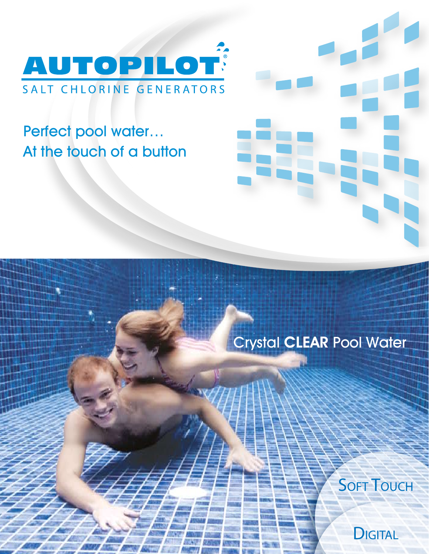

# Perfect pool water… At the touch of a button



## Crystal CLEAR Pool Water